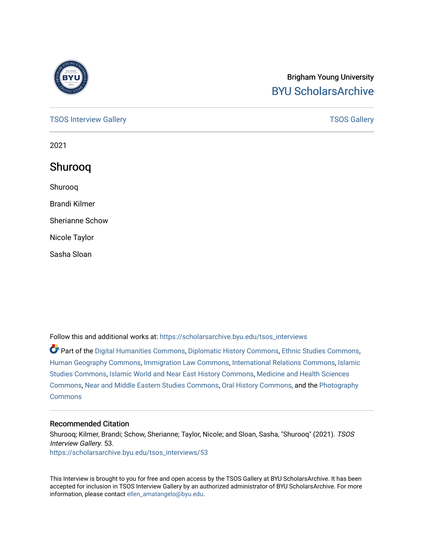

### Brigham Young University [BYU ScholarsArchive](https://scholarsarchive.byu.edu/)

#### [TSOS Interview Gallery](https://scholarsarchive.byu.edu/tsos_interviews) **TSOS** Gallery

2021

### Shurooq

Shurooq

Brandi Kilmer

Sherianne Schow

Nicole Taylor

Sasha Sloan

Follow this and additional works at: [https://scholarsarchive.byu.edu/tsos\\_interviews](https://scholarsarchive.byu.edu/tsos_interviews?utm_source=scholarsarchive.byu.edu%2Ftsos_interviews%2F53&utm_medium=PDF&utm_campaign=PDFCoverPages) 

Part of the [Digital Humanities Commons](http://network.bepress.com/hgg/discipline/1286?utm_source=scholarsarchive.byu.edu%2Ftsos_interviews%2F53&utm_medium=PDF&utm_campaign=PDFCoverPages), [Diplomatic History Commons,](http://network.bepress.com/hgg/discipline/497?utm_source=scholarsarchive.byu.edu%2Ftsos_interviews%2F53&utm_medium=PDF&utm_campaign=PDFCoverPages) [Ethnic Studies Commons,](http://network.bepress.com/hgg/discipline/570?utm_source=scholarsarchive.byu.edu%2Ftsos_interviews%2F53&utm_medium=PDF&utm_campaign=PDFCoverPages) [Human Geography Commons](http://network.bepress.com/hgg/discipline/356?utm_source=scholarsarchive.byu.edu%2Ftsos_interviews%2F53&utm_medium=PDF&utm_campaign=PDFCoverPages), [Immigration Law Commons](http://network.bepress.com/hgg/discipline/604?utm_source=scholarsarchive.byu.edu%2Ftsos_interviews%2F53&utm_medium=PDF&utm_campaign=PDFCoverPages), [International Relations Commons,](http://network.bepress.com/hgg/discipline/389?utm_source=scholarsarchive.byu.edu%2Ftsos_interviews%2F53&utm_medium=PDF&utm_campaign=PDFCoverPages) [Islamic](http://network.bepress.com/hgg/discipline/1346?utm_source=scholarsarchive.byu.edu%2Ftsos_interviews%2F53&utm_medium=PDF&utm_campaign=PDFCoverPages) [Studies Commons,](http://network.bepress.com/hgg/discipline/1346?utm_source=scholarsarchive.byu.edu%2Ftsos_interviews%2F53&utm_medium=PDF&utm_campaign=PDFCoverPages) [Islamic World and Near East History Commons](http://network.bepress.com/hgg/discipline/493?utm_source=scholarsarchive.byu.edu%2Ftsos_interviews%2F53&utm_medium=PDF&utm_campaign=PDFCoverPages), [Medicine and Health Sciences](http://network.bepress.com/hgg/discipline/648?utm_source=scholarsarchive.byu.edu%2Ftsos_interviews%2F53&utm_medium=PDF&utm_campaign=PDFCoverPages)  [Commons](http://network.bepress.com/hgg/discipline/648?utm_source=scholarsarchive.byu.edu%2Ftsos_interviews%2F53&utm_medium=PDF&utm_campaign=PDFCoverPages), [Near and Middle Eastern Studies Commons](http://network.bepress.com/hgg/discipline/1308?utm_source=scholarsarchive.byu.edu%2Ftsos_interviews%2F53&utm_medium=PDF&utm_campaign=PDFCoverPages), [Oral History Commons](http://network.bepress.com/hgg/discipline/1195?utm_source=scholarsarchive.byu.edu%2Ftsos_interviews%2F53&utm_medium=PDF&utm_campaign=PDFCoverPages), and the [Photography](http://network.bepress.com/hgg/discipline/1142?utm_source=scholarsarchive.byu.edu%2Ftsos_interviews%2F53&utm_medium=PDF&utm_campaign=PDFCoverPages)  **[Commons](http://network.bepress.com/hgg/discipline/1142?utm_source=scholarsarchive.byu.edu%2Ftsos_interviews%2F53&utm_medium=PDF&utm_campaign=PDFCoverPages)** 

#### Recommended Citation

Shurooq; Kilmer, Brandi; Schow, Sherianne; Taylor, Nicole; and Sloan, Sasha, "Shurooq" (2021). TSOS Interview Gallery. 53. [https://scholarsarchive.byu.edu/tsos\\_interviews/53](https://scholarsarchive.byu.edu/tsos_interviews/53?utm_source=scholarsarchive.byu.edu%2Ftsos_interviews%2F53&utm_medium=PDF&utm_campaign=PDFCoverPages)

This Interview is brought to you for free and open access by the TSOS Gallery at BYU ScholarsArchive. It has been accepted for inclusion in TSOS Interview Gallery by an authorized administrator of BYU ScholarsArchive. For more information, please contact [ellen\\_amatangelo@byu.edu.](mailto:ellen_amatangelo@byu.edu)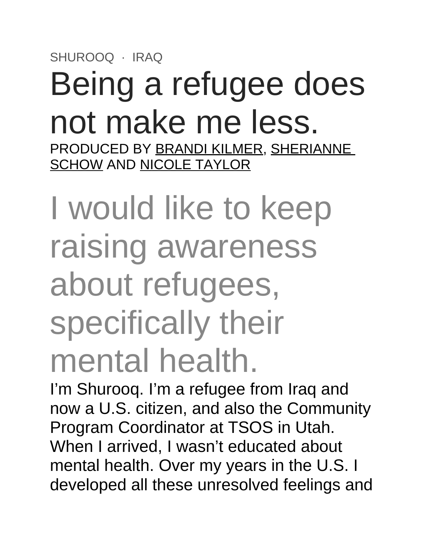## SHUROOQ · IRAQ Being a refugee does not make me less. PRODUCED BY BRANDI KILMER, SHERIANNE SCHOW AND NICOLE TAYLOR

I would like to keep raising awareness about refugees, specifically their mental health.

I'm Shurooq. I'm a refugee from Iraq and now a U.S. citizen, and also the Community Program Coordinator at TSOS in Utah. When I arrived, I wasn't educated about mental health. Over my years in the U.S. I developed all these unresolved feelings and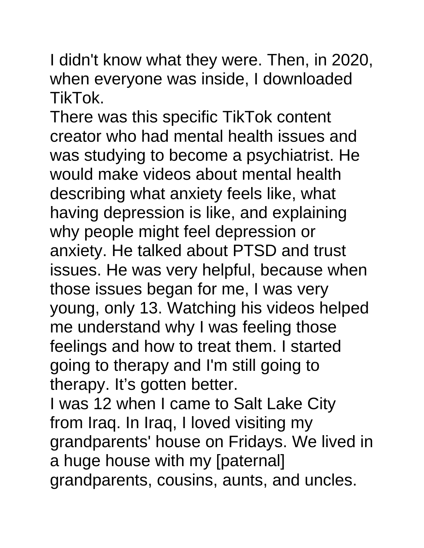I didn't know what they were. Then, in 2020, when everyone was inside, I downloaded TikTok.

There was this specific TikTok content creator who had mental health issues and was studying to become a psychiatrist. He would make videos about mental health describing what anxiety feels like, what having depression is like, and explaining why people might feel depression or anxiety. He talked about PTSD and trust issues. He was very helpful, because when those issues began for me, I was very young, only 13. Watching his videos helped me understand why I was feeling those feelings and how to treat them. I started going to therapy and I'm still going to therapy. It's gotten better. I was 12 when I came to Salt Lake City from Iraq. In Iraq, I loved visiting my grandparents' house on Fridays. We lived in a huge house with my [paternal]

grandparents, cousins, aunts, and uncles.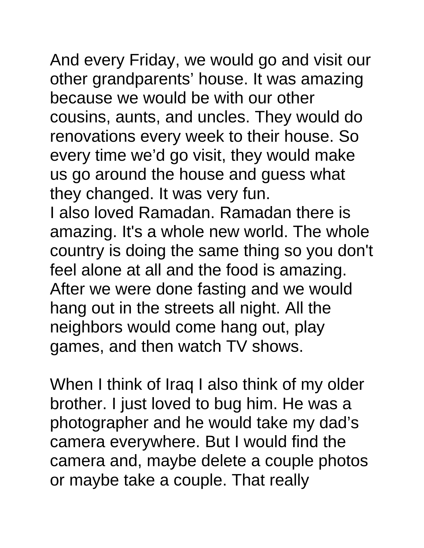And every Friday, we would go and visit our

other grandparents' house. It was amazing because we would be with our other cousins, aunts, and uncles. They would do renovations every week to their house. So every time we'd go visit, they would make us go around the house and guess what they changed. It was very fun.

I also loved Ramadan. Ramadan there is amazing. It's a whole new world. The whole country is doing the same thing so you don't feel alone at all and the food is amazing. After we were done fasting and we would hang out in the streets all night. All the neighbors would come hang out, play games, and then watch TV shows.

When I think of Iraq I also think of my older brother. I just loved to bug him. He was a photographer and he would take my dad's camera everywhere. But I would find the camera and, maybe delete a couple photos or maybe take a couple. That really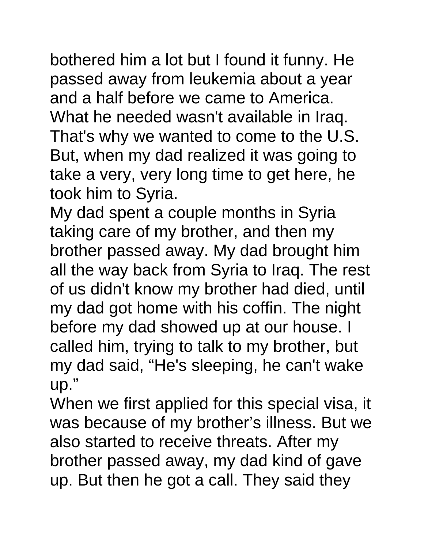bothered him a lot but I found it funny. He passed away from leukemia about a year and a half before we came to America. What he needed wasn't available in Iraq. That's why we wanted to come to the U.S. But, when my dad realized it was going to take a very, very long time to get here, he took him to Syria.

My dad spent a couple months in Syria taking care of my brother, and then my brother passed away. My dad brought him all the way back from Syria to Iraq. The rest of us didn't know my brother had died, until my dad got home with his coffin. The night before my dad showed up at our house. I called him, trying to talk to my brother, but my dad said, "He's sleeping, he can't wake up."

When we first applied for this special visa, it was because of my brother's illness. But we also started to receive threats. After my brother passed away, my dad kind of gave up. But then he got a call. They said they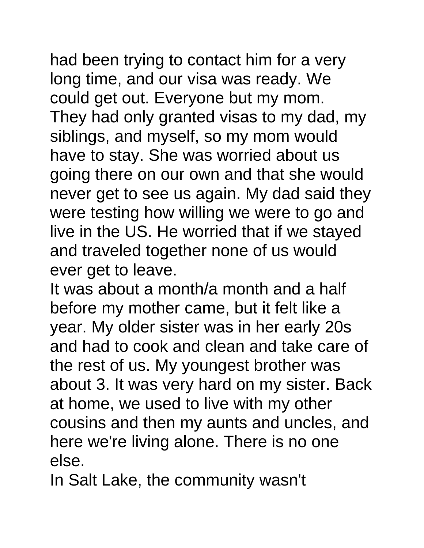had been trying to contact him for a very long time, and our visa was ready. We could get out. Everyone but my mom. They had only granted visas to my dad, my siblings, and myself, so my mom would have to stay. She was worried about us going there on our own and that she would never get to see us again. My dad said they were testing how willing we were to go and live in the US. He worried that if we stayed

and traveled together none of us would ever get to leave.

It was about a month/a month and a half before my mother came, but it felt like a year. My older sister was in her early 20s and had to cook and clean and take care of the rest of us. My youngest brother was about 3. It was very hard on my sister. Back at home, we used to live with my other cousins and then my aunts and uncles, and here we're living alone. There is no one else.

In Salt Lake, the community wasn't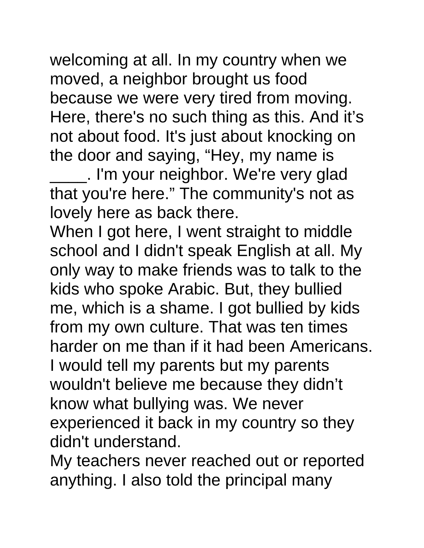welcoming at all. In my country when we moved, a neighbor brought us food

because we were very tired from moving. Here, there's no such thing as this. And it's not about food. It's just about knocking on the door and saying, "Hey, my name is

\_\_\_\_. I'm your neighbor. We're very glad that you're here." The community's not as lovely here as back there.

When I got here, I went straight to middle school and I didn't speak English at all. My only way to make friends was to talk to the kids who spoke Arabic. But, they bullied me, which is a shame. I got bullied by kids from my own culture. That was ten times harder on me than if it had been Americans. I would tell my parents but my parents wouldn't believe me because they didn't know what bullying was. We never experienced it back in my country so they didn't understand.

My teachers never reached out or reported anything. I also told the principal many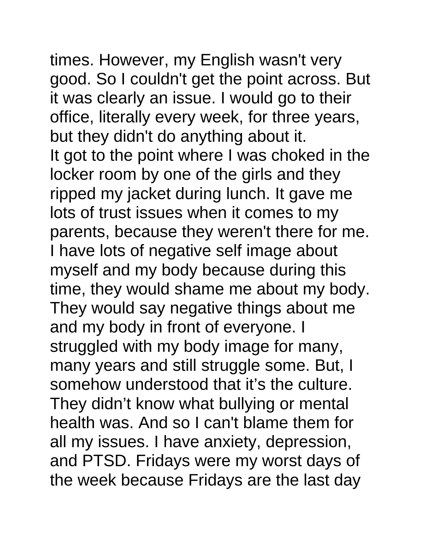# times. However, my English wasn't very

good. So I couldn't get the point across. But it was clearly an issue. I would go to their office, literally every week, for three years, but they didn't do anything about it. It got to the point where I was choked in the locker room by one of the girls and they ripped my jacket during lunch. It gave me lots of trust issues when it comes to my parents, because they weren't there for me. I have lots of negative self image about myself and my body because during this time, they would shame me about my body. They would say negative things about me and my body in front of everyone. I struggled with my body image for many, many years and still struggle some. But, I somehow understood that it's the culture. They didn't know what bullying or mental health was. And so I can't blame them for all my issues. I have anxiety, depression, and PTSD. Fridays were my worst days of the week because Fridays are the last day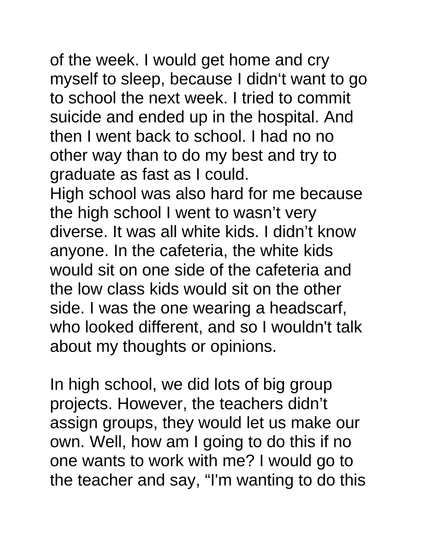# of the week. I would get home and cry

myself to sleep, because I didn't want to go to school the next week. I tried to commit suicide and ended up in the hospital. And then I went back to school. I had no no other way than to do my best and try to graduate as fast as I could. High school was also hard for me because

the high school I went to wasn't very diverse. It was all white kids. I didn't know anyone. In the cafeteria, the white kids would sit on one side of the cafeteria and the low class kids would sit on the other side. I was the one wearing a headscarf, who looked different, and so I wouldn't talk about my thoughts or opinions.

In high school, we did lots of big group projects. However, the teachers didn't assign groups, they would let us make our own. Well, how am I going to do this if no one wants to work with me? I would go to the teacher and say, "I'm wanting to do this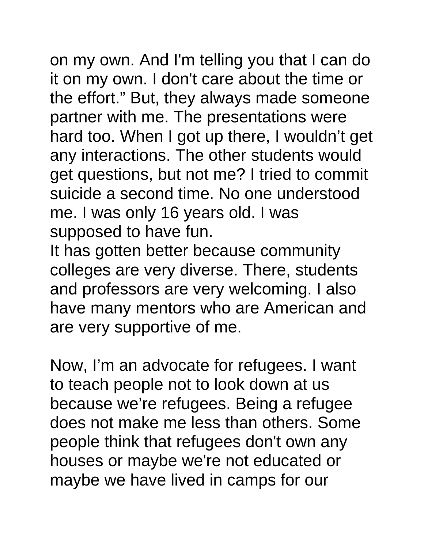on my own. And I'm telling you that I can do

it on my own. I don't care about the time or the effort." But, they always made someone partner with me. The presentations were hard too. When I got up there, I wouldn't get any interactions. The other students would get questions, but not me? I tried to commit suicide a second time. No one understood me. I was only 16 years old. I was supposed to have fun.

It has gotten better because community colleges are very diverse. There, students and professors are very welcoming. I also have many mentors who are American and are very supportive of me.

Now, I'm an advocate for refugees. I want to teach people not to look down at us because we're refugees. Being a refugee does not make me less than others. Some people think that refugees don't own any houses or maybe we're not educated or maybe we have lived in camps for our